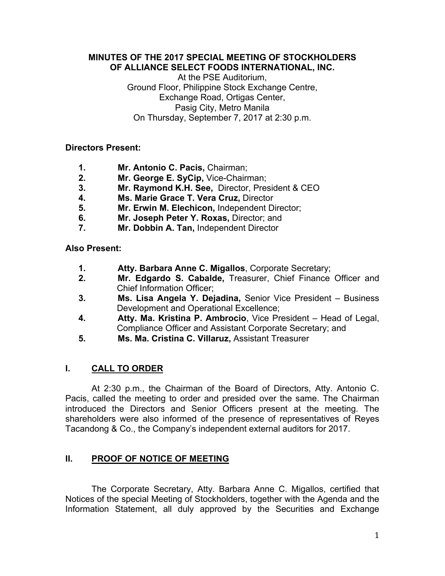#### **MINUTES OF THE 2017 SPECIAL MEETING OF STOCKHOLDERS OF ALLIANCE SELECT FOODS INTERNATIONAL, INC.**

At the PSE Auditorium, Ground Floor, Philippine Stock Exchange Centre, Exchange Road, Ortigas Center, Pasig City, Metro Manila On Thursday, September 7, 2017 at 2:30 p.m.

## **Directors Present:**

- **1. Mr. Antonio C. Pacis,** Chairman;
- **2. Mr. George E. SyCip,** Vice-Chairman;
- **3. Mr. Raymond K.H. See,** Director, President & CEO
- **4. Ms. Marie Grace T. Vera Cruz,** Director
- **5. Mr. Erwin M. Elechicon,** Independent Director;
- **6. Mr. Joseph Peter Y. Roxas,** Director; and
- **7. Mr. Dobbin A. Tan,** Independent Director

**Also Present:** 

- **1. Atty. Barbara Anne C. Migallos**, Corporate Secretary;
- **2. Mr. Edgardo S. Cabalde,** Treasurer, Chief Finance Officer and Chief Information Officer;
- **3. Ms. Lisa Angela Y. Dejadina,** Senior Vice President Business Development and Operational Excellence;
- **4. Atty. Ma. Kristina P. Ambrocio**, Vice President Head of Legal, Compliance Officer and Assistant Corporate Secretary; and
- **5. Ms. Ma. Cristina C. Villaruz,** Assistant Treasurer

# **I. CALL TO ORDER**

 At 2:30 p.m., the Chairman of the Board of Directors, Atty. Antonio C. Pacis, called the meeting to order and presided over the same. The Chairman introduced the Directors and Senior Officers present at the meeting. The shareholders were also informed of the presence of representatives of Reyes Tacandong & Co., the Company's independent external auditors for 2017.

# **II. PROOF OF NOTICE OF MEETING**

 The Corporate Secretary, Atty. Barbara Anne C. Migallos, certified that Notices of the special Meeting of Stockholders, together with the Agenda and the Information Statement, all duly approved by the Securities and Exchange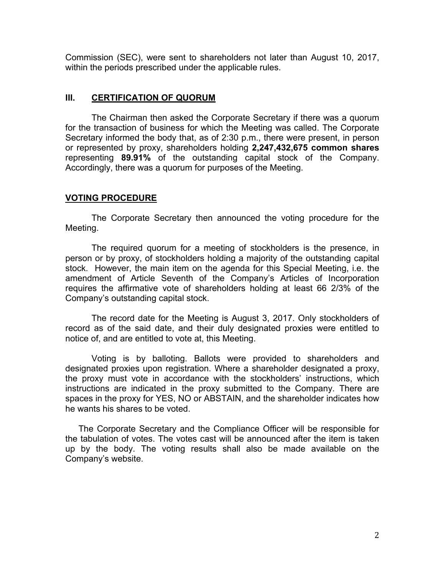Commission (SEC), were sent to shareholders not later than August 10, 2017, within the periods prescribed under the applicable rules.

#### **III. CERTIFICATION OF QUORUM**

The Chairman then asked the Corporate Secretary if there was a quorum for the transaction of business for which the Meeting was called. The Corporate Secretary informed the body that, as of 2:30 p.m., there were present, in person or represented by proxy, shareholders holding **2,247,432,675 common shares**  representing **89.91%** of the outstanding capital stock of the Company. Accordingly, there was a quorum for purposes of the Meeting.

# **VOTING PROCEDURE**

The Corporate Secretary then announced the voting procedure for the Meeting.

The required quorum for a meeting of stockholders is the presence, in person or by proxy, of stockholders holding a majority of the outstanding capital stock. However, the main item on the agenda for this Special Meeting, i.e. the amendment of Article Seventh of the Company's Articles of Incorporation requires the affirmative vote of shareholders holding at least 66 2/3% of the Company's outstanding capital stock.

The record date for the Meeting is August 3, 2017. Only stockholders of record as of the said date, and their duly designated proxies were entitled to notice of, and are entitled to vote at, this Meeting.

Voting is by balloting. Ballots were provided to shareholders and designated proxies upon registration. Where a shareholder designated a proxy, the proxy must vote in accordance with the stockholders' instructions, which instructions are indicated in the proxy submitted to the Company. There are spaces in the proxy for YES, NO or ABSTAIN, and the shareholder indicates how he wants his shares to be voted.

The Corporate Secretary and the Compliance Officer will be responsible for the tabulation of votes. The votes cast will be announced after the item is taken up by the body. The voting results shall also be made available on the Company's website.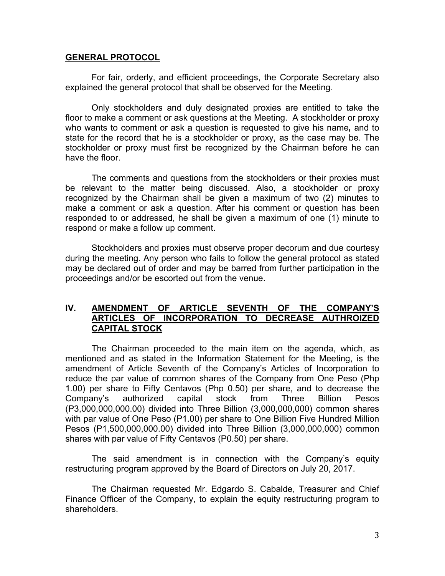#### **GENERAL PROTOCOL**

For fair, orderly, and efficient proceedings, the Corporate Secretary also explained the general protocol that shall be observed for the Meeting.

Only stockholders and duly designated proxies are entitled to take the floor to make a comment or ask questions at the Meeting. A stockholder or proxy who wants to comment or ask a question is requested to give his name*,* and to state for the record that he is a stockholder or proxy, as the case may be. The stockholder or proxy must first be recognized by the Chairman before he can have the floor.

The comments and questions from the stockholders or their proxies must be relevant to the matter being discussed. Also, a stockholder or proxy recognized by the Chairman shall be given a maximum of two (2) minutes to make a comment or ask a question. After his comment or question has been responded to or addressed, he shall be given a maximum of one (1) minute to respond or make a follow up comment.

Stockholders and proxies must observe proper decorum and due courtesy during the meeting. Any person who fails to follow the general protocol as stated may be declared out of order and may be barred from further participation in the proceedings and/or be escorted out from the venue.

## **IV. AMENDMENT OF ARTICLE SEVENTH OF THE COMPANY'S ARTICLES OF INCORPORATION TO DECREASE AUTHROIZED CAPITAL STOCK**

 The Chairman proceeded to the main item on the agenda, which, as mentioned and as stated in the Information Statement for the Meeting, is the amendment of Article Seventh of the Company's Articles of Incorporation to reduce the par value of common shares of the Company from One Peso (Php 1.00) per share to Fifty Centavos (Php 0.50) per share, and to decrease the Company's authorized capital stock from Three Billion Pesos (P3,000,000,000.00) divided into Three Billion (3,000,000,000) common shares with par value of One Peso (P1.00) per share to One Billion Five Hundred Million Pesos (P1,500,000,000.00) divided into Three Billion (3,000,000,000) common shares with par value of Fifty Centavos (P0.50) per share.

The said amendment is in connection with the Company's equity restructuring program approved by the Board of Directors on July 20, 2017.

The Chairman requested Mr. Edgardo S. Cabalde, Treasurer and Chief Finance Officer of the Company, to explain the equity restructuring program to shareholders.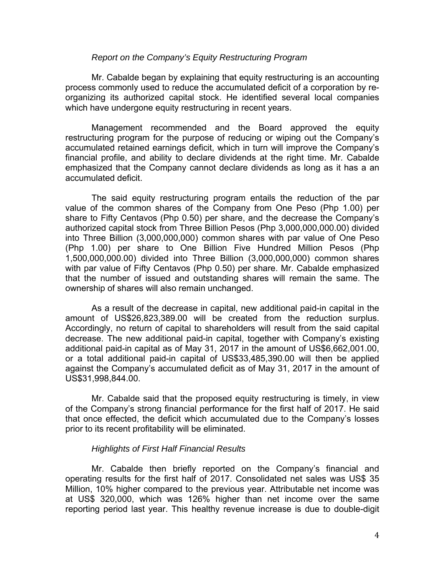#### *Report on the Company's Equity Restructuring Program*

 Mr. Cabalde began by explaining that equity restructuring is an accounting process commonly used to reduce the accumulated deficit of a corporation by reorganizing its authorized capital stock. He identified several local companies which have undergone equity restructuring in recent years.

 Management recommended and the Board approved the equity restructuring program for the purpose of reducing or wiping out the Company's accumulated retained earnings deficit, which in turn will improve the Company's financial profile, and ability to declare dividends at the right time. Mr. Cabalde emphasized that the Company cannot declare dividends as long as it has a an accumulated deficit.

 The said equity restructuring program entails the reduction of the par value of the common shares of the Company from One Peso (Php 1.00) per share to Fifty Centavos (Php 0.50) per share, and the decrease the Company's authorized capital stock from Three Billion Pesos (Php 3,000,000,000.00) divided into Three Billion (3,000,000,000) common shares with par value of One Peso (Php 1.00) per share to One Billion Five Hundred Million Pesos (Php 1,500,000,000.00) divided into Three Billion (3,000,000,000) common shares with par value of Fifty Centavos (Php 0.50) per share. Mr. Cabalde emphasized that the number of issued and outstanding shares will remain the same. The ownership of shares will also remain unchanged.

As a result of the decrease in capital, new additional paid-in capital in the amount of US\$26,823,389.00 will be created from the reduction surplus. Accordingly, no return of capital to shareholders will result from the said capital decrease. The new additional paid-in capital, together with Company's existing additional paid-in capital as of May 31, 2017 in the amount of US\$6,662,001.00, or a total additional paid-in capital of US\$33,485,390.00 will then be applied against the Company's accumulated deficit as of May 31, 2017 in the amount of US\$31,998,844.00.

 Mr. Cabalde said that the proposed equity restructuring is timely, in view of the Company's strong financial performance for the first half of 2017. He said that once effected, the deficit which accumulated due to the Company's losses prior to its recent profitability will be eliminated.

#### *Highlights of First Half Financial Results*

Mr. Cabalde then briefly reported on the Company's financial and operating results for the first half of 2017. Consolidated net sales was US\$ 35 Million, 10% higher compared to the previous year. Attributable net income was at US\$ 320,000, which was 126% higher than net income over the same reporting period last year. This healthy revenue increase is due to double-digit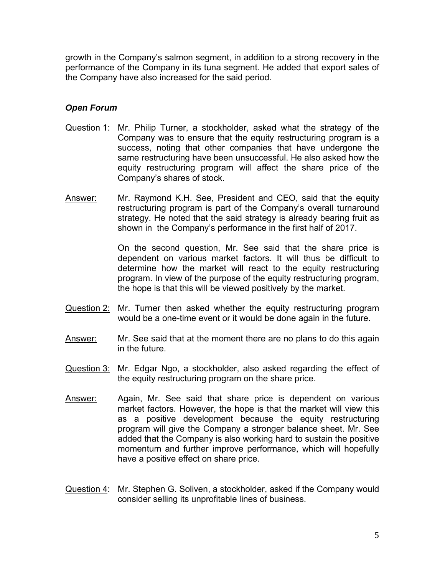growth in the Company's salmon segment, in addition to a strong recovery in the performance of the Company in its tuna segment. He added that export sales of the Company have also increased for the said period.

## *Open Forum*

- Question 1: Mr. Philip Turner, a stockholder, asked what the strategy of the Company was to ensure that the equity restructuring program is a success, noting that other companies that have undergone the same restructuring have been unsuccessful. He also asked how the equity restructuring program will affect the share price of the Company's shares of stock.
- Answer: Mr. Raymond K.H. See, President and CEO, said that the equity restructuring program is part of the Company's overall turnaround strategy. He noted that the said strategy is already bearing fruit as shown in the Company's performance in the first half of 2017.

 On the second question, Mr. See said that the share price is dependent on various market factors. It will thus be difficult to determine how the market will react to the equity restructuring program. In view of the purpose of the equity restructuring program, the hope is that this will be viewed positively by the market.

- Question 2: Mr. Turner then asked whether the equity restructuring program would be a one-time event or it would be done again in the future.
- Answer: Mr. See said that at the moment there are no plans to do this again in the future.
- Question 3: Mr. Edgar Ngo, a stockholder, also asked regarding the effect of the equity restructuring program on the share price.
- Answer: Again, Mr. See said that share price is dependent on various market factors. However, the hope is that the market will view this as a positive development because the equity restructuring program will give the Company a stronger balance sheet. Mr. See added that the Company is also working hard to sustain the positive momentum and further improve performance, which will hopefully have a positive effect on share price.
- Question 4: Mr. Stephen G. Soliven, a stockholder, asked if the Company would consider selling its unprofitable lines of business.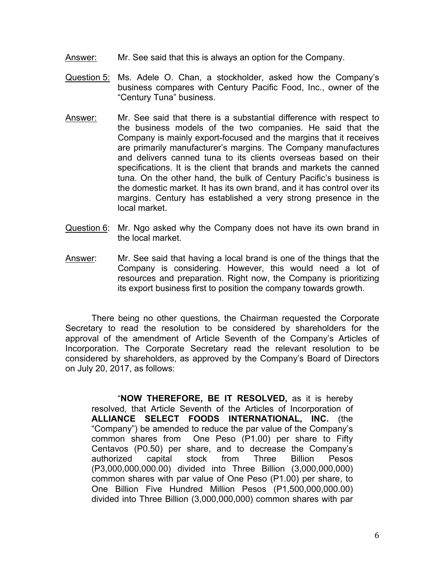- Answer: Mr. See said that this is always an option for the Company.
- Question 5: Ms. Adele O. Chan, a stockholder, asked how the Company's business compares with Century Pacific Food, Inc., owner of the "Century Tuna" business.
- Answer: Mr. See said that there is a substantial difference with respect to the business models of the two companies. He said that the Company is mainly export-focused and the margins that it receives are primarily manufacturer's margins. The Company manufactures and delivers canned tuna to its clients overseas based on their specifications. It is the client that brands and markets the canned tuna. On the other hand, the bulk of Century Pacific's business is the domestic market. It has its own brand, and it has control over its margins. Century has established a very strong presence in the local market.
- Question 6: Mr. Ngo asked why the Company does not have its own brand in the local market.
- Answer: Mr. See said that having a local brand is one of the things that the Company is considering. However, this would need a lot of resources and preparation. Right now, the Company is prioritizing its export business first to position the company towards growth.

There being no other questions, the Chairman requested the Corporate Secretary to read the resolution to be considered by shareholders for the approval of the amendment of Article Seventh of the Company's Articles of Incorporation. The Corporate Secretary read the relevant resolution to be considered by shareholders, as approved by the Company's Board of Directors on July 20, 2017, as follows:

"**NOW THEREFORE, BE IT RESOLVED,** as it is hereby resolved, that Article Seventh of the Articles of Incorporation of **ALLIANCE SELECT FOODS INTERNATIONAL, INC.** (the "Company") be amended to reduce the par value of the Company's common shares from One Peso (P1.00) per share to Fifty Centavos (P0.50) per share, and to decrease the Company's authorized capital stock from Three Billion Pesos (P3,000,000,000.00) divided into Three Billion (3,000,000,000) common shares with par value of One Peso (P1.00) per share, to One Billion Five Hundred Million Pesos (P1,500,000,000.00) divided into Three Billion (3,000,000,000) common shares with par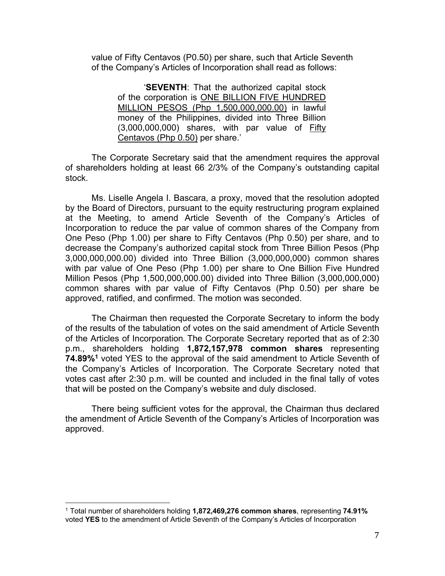value of Fifty Centavos (P0.50) per share, such that Article Seventh of the Company's Articles of Incorporation shall read as follows:

 '**SEVENTH**: That the authorized capital stock of the corporation is ONE BILLION FIVE HUNDRED MILLION PESOS (Php 1,500,000,000.00) in lawful money of the Philippines, divided into Three Billion (3,000,000,000) shares, with par value of Fifty Centavos (Php 0.50) per share.'

 The Corporate Secretary said that the amendment requires the approval of shareholders holding at least 66 2/3% of the Company's outstanding capital stock.

Ms. Liselle Angela I. Bascara, a proxy, moved that the resolution adopted by the Board of Directors, pursuant to the equity restructuring program explained at the Meeting, to amend Article Seventh of the Company's Articles of Incorporation to reduce the par value of common shares of the Company from One Peso (Php 1.00) per share to Fifty Centavos (Php 0.50) per share, and to decrease the Company's authorized capital stock from Three Billion Pesos (Php 3,000,000,000.00) divided into Three Billion (3,000,000,000) common shares with par value of One Peso (Php 1.00) per share to One Billion Five Hundred Million Pesos (Php 1,500,000,000.00) divided into Three Billion (3,000,000,000) common shares with par value of Fifty Centavos (Php 0.50) per share be approved, ratified, and confirmed. The motion was seconded.

 The Chairman then requested the Corporate Secretary to inform the body of the results of the tabulation of votes on the said amendment of Article Seventh of the Articles of Incorporation. The Corporate Secretary reported that as of 2:30 p.m., shareholders holding **1,872,157,978 common shares** representing **74.89%1** voted YES to the approval of the said amendment to Article Seventh of the Company's Articles of Incorporation. The Corporate Secretary noted that votes cast after 2:30 p.m. will be counted and included in the final tally of votes that will be posted on the Company's website and duly disclosed.

 There being sufficient votes for the approval, the Chairman thus declared the amendment of Article Seventh of the Company's Articles of Incorporation was approved.

 

<sup>1</sup> Total number of shareholders holding **1,872,469,276 common shares**, representing **74.91%** voted **YES** to the amendment of Article Seventh of the Company's Articles of Incorporation